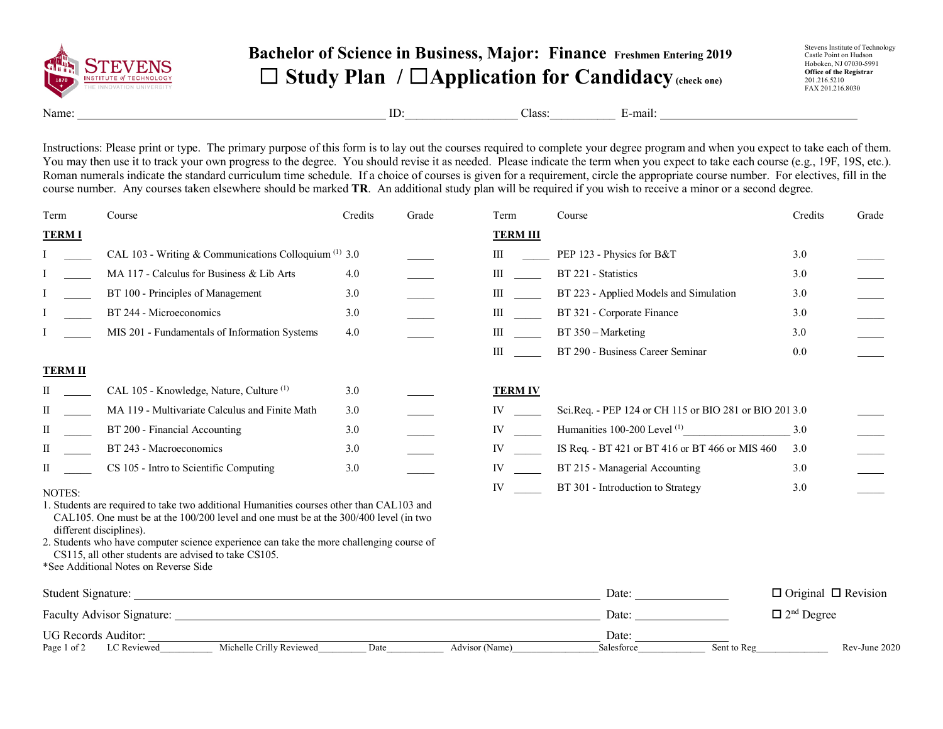

## **Bachelor of Science in Business, Major: Finance Freshmen Entering 2019** ☐ **Study Plan /** ☐**Application for Candidacy(check one)**

Stevens Institute of Technology Castle Point on Hudson Hoboken, NJ 07030-5991 **Office of the Registrar** 201.216.5210 FAX 201.216.8030

Name: E-mail: ID: Class: E-mail:

Instructions: Please print or type. The primary purpose of this form is to lay out the courses required to complete your degree program and when you expect to take each of them. You may then use it to track your own progress to the degree. You should revise it as needed. Please indicate the term when you expect to take each course (e.g., 19F, 19S, etc.). Roman numerals indicate the standard curriculum time schedule. If a choice of courses is given for a requirement, circle the appropriate course number. For electives, fill in the course number. Any courses taken elsewhere should be marked **TR**. An additional study plan will be required if you wish to receive a minor or a second degree.

| Term                                                                                                           | Course                                                                                                                                                                                                       | Credits | Grade | Term                                                                                                                                                                                                                           | Course                                                 | Credits | Grade         |
|----------------------------------------------------------------------------------------------------------------|--------------------------------------------------------------------------------------------------------------------------------------------------------------------------------------------------------------|---------|-------|--------------------------------------------------------------------------------------------------------------------------------------------------------------------------------------------------------------------------------|--------------------------------------------------------|---------|---------------|
| <b>TERMI</b>                                                                                                   |                                                                                                                                                                                                              |         |       | <b>TERM III</b>                                                                                                                                                                                                                |                                                        |         |               |
|                                                                                                                | CAL 103 - Writing & Communications Colloquium $(1)$ 3.0                                                                                                                                                      |         |       | Ш                                                                                                                                                                                                                              | PEP 123 - Physics for B&T                              | 3.0     |               |
|                                                                                                                | MA 117 - Calculus for Business & Lib Arts                                                                                                                                                                    | 4.0     |       | $\mathbf{III}$                                                                                                                                                                                                                 | BT 221 - Statistics                                    | 3.0     |               |
|                                                                                                                | BT 100 - Principles of Management                                                                                                                                                                            | 3.0     |       | $\mathbf{III}$                                                                                                                                                                                                                 | BT 223 - Applied Models and Simulation                 | 3.0     |               |
|                                                                                                                | BT 244 - Microeconomics                                                                                                                                                                                      | 3.0     |       | $\mathbf{III}$                                                                                                                                                                                                                 | BT 321 - Corporate Finance                             | 3.0     |               |
|                                                                                                                | MIS 201 - Fundamentals of Information Systems                                                                                                                                                                | 4.0     |       | $\mathbf{III}$                                                                                                                                                                                                                 | BT 350 – Marketing                                     | 3.0     |               |
|                                                                                                                |                                                                                                                                                                                                              |         |       | $\mathbf{III}$                                                                                                                                                                                                                 | BT 290 - Business Career Seminar                       | 0.0     |               |
| <b>TERM II</b>                                                                                                 |                                                                                                                                                                                                              |         |       |                                                                                                                                                                                                                                |                                                        |         |               |
| П                                                                                                              | CAL 105 - Knowledge, Nature, Culture <sup>(1)</sup>                                                                                                                                                          | 3.0     |       | <b>TERM IV</b>                                                                                                                                                                                                                 |                                                        |         |               |
| П                                                                                                              | MA 119 - Multivariate Calculus and Finite Math                                                                                                                                                               | 3.0     |       | IV and the set of the set of the set of the set of the set of the set of the set of the set of the set of the set of the set of the set of the set of the set of the set of the set of the set of the set of the set of the se | Sci.Req. - PEP 124 or CH 115 or BIO 281 or BIO 201 3.0 |         |               |
| П                                                                                                              | BT 200 - Financial Accounting                                                                                                                                                                                | 3.0     |       | IV and the set of the set of the set of the set of the set of the set of the set of the set of the set of the set of the set of the set of the set of the set of the set of the set of the set of the set of the set of the se |                                                        | 3.0     |               |
| П                                                                                                              | BT 243 - Macroeconomics                                                                                                                                                                                      | 3.0     |       | IV and the set of the set of the set of the set of the set of the set of the set of the set of the set of the set of the set of the set of the set of the set of the set of the set of the set of the set of the set of the se | IS Req. - BT 421 or BT 416 or BT 466 or MIS 460        | 3.0     |               |
| П                                                                                                              | CS 105 - Intro to Scientific Computing                                                                                                                                                                       | 3.0     |       | IV and the set of the set of the set of the set of the set of the set of the set of the set of the set of the set of the set of the set of the set of the set of the set of the set of the set of the set of the set of the se | BT 215 - Managerial Accounting                         | 3.0     |               |
| NOTES:                                                                                                         |                                                                                                                                                                                                              |         |       | IV                                                                                                                                                                                                                             | BT 301 - Introduction to Strategy                      | 3.0     |               |
|                                                                                                                | 1. Students are required to take two additional Humanities courses other than CAL103 and<br>CAL105. One must be at the 100/200 level and one must be at the 300/400 level (in two<br>different disciplines). |         |       |                                                                                                                                                                                                                                |                                                        |         |               |
|                                                                                                                | 2. Students who have computer science experience can take the more challenging course of<br>CS115, all other students are advised to take CS105.                                                             |         |       |                                                                                                                                                                                                                                |                                                        |         |               |
|                                                                                                                |                                                                                                                                                                                                              |         |       |                                                                                                                                                                                                                                |                                                        |         |               |
|                                                                                                                | *See Additional Notes on Reverse Side<br>Student Signature:<br>$\Box$ Original $\Box$ Revision<br>Date:                                                                                                      |         |       |                                                                                                                                                                                                                                |                                                        |         |               |
| Faculty Advisor Signature: 1986 and 2008 and 2008 and 2008 and 2008 and 2008 and 2008 and 2008 and 2008 and 20 |                                                                                                                                                                                                              |         |       |                                                                                                                                                                                                                                | $\Box$ 2 <sup>nd</sup> Degree<br>Date:                 |         |               |
| Page 1 of 2                                                                                                    | UG Records Auditor:<br>Michelle Crilly Reviewed<br>LC Reviewed                                                                                                                                               | Date    |       | Advisor (Name)                                                                                                                                                                                                                 | Date:<br>Sent to Reg<br>Salesforce                     |         | Rev-June 2020 |